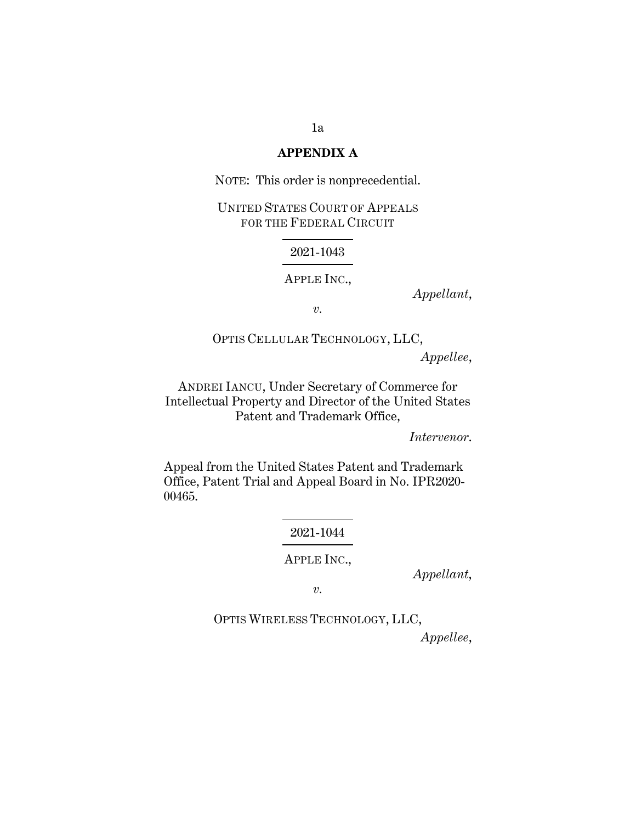### **APPENDIX A**

NOTE: This order is nonprecedential.

UNITED STATES COURT OF APPEALS FOR THE FEDERAL CIRCUIT

#### 2021-1043

APPLE INC.,

*Appellant*,

*v.* 

OPTIS CELLULAR TECHNOLOGY, LLC, *Appellee*,

ANDREI IANCU, Under Secretary of Commerce for Intellectual Property and Director of the United States Patent and Trademark Office,

*Intervenor*.

Appeal from the United States Patent and Trademark Office, Patent Trial and Appeal Board in No. IPR2020- 00465.

## 2021-1044

APPLE INC.,

*Appellant*,

*v.* 

OPTIS WIRELESS TECHNOLOGY, LLC,

*Appellee*,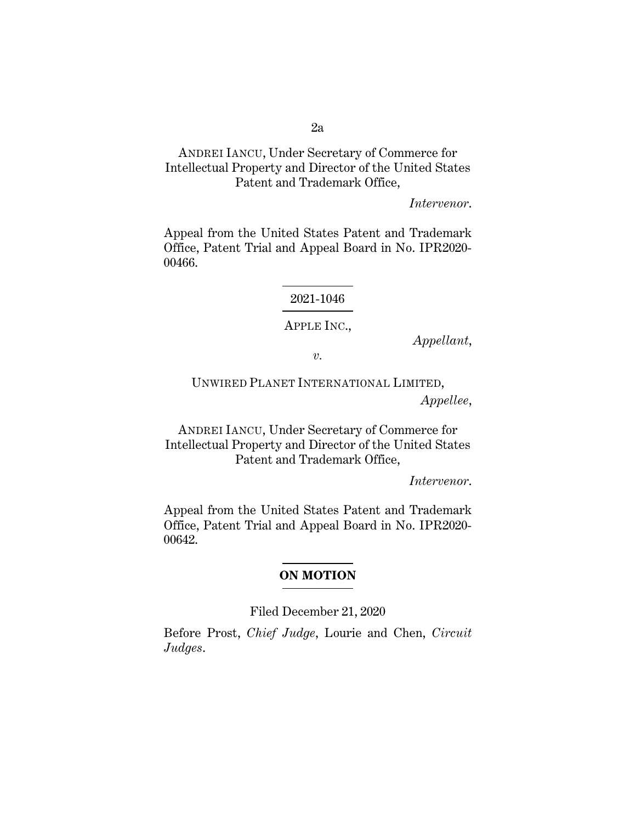# ANDREI IANCU, Under Secretary of Commerce for Intellectual Property and Director of the United States Patent and Trademark Office,

*Intervenor*.

Appeal from the United States Patent and Trademark Office, Patent Trial and Appeal Board in No. IPR2020- 00466.

2021-1046

#### APPLE INC.,

*Appellant*,

*v.* 

UNWIRED PLANET INTERNATIONAL LIMITED, *Appellee*,

ANDREI IANCU, Under Secretary of Commerce for Intellectual Property and Director of the United States Patent and Trademark Office,

*Intervenor*.

Appeal from the United States Patent and Trademark Office, Patent Trial and Appeal Board in No. IPR2020- 00642.

### **ON MOTION**

Filed December 21, 2020

Before Prost, *Chief Judge*, Lourie and Chen, *Circuit Judges*.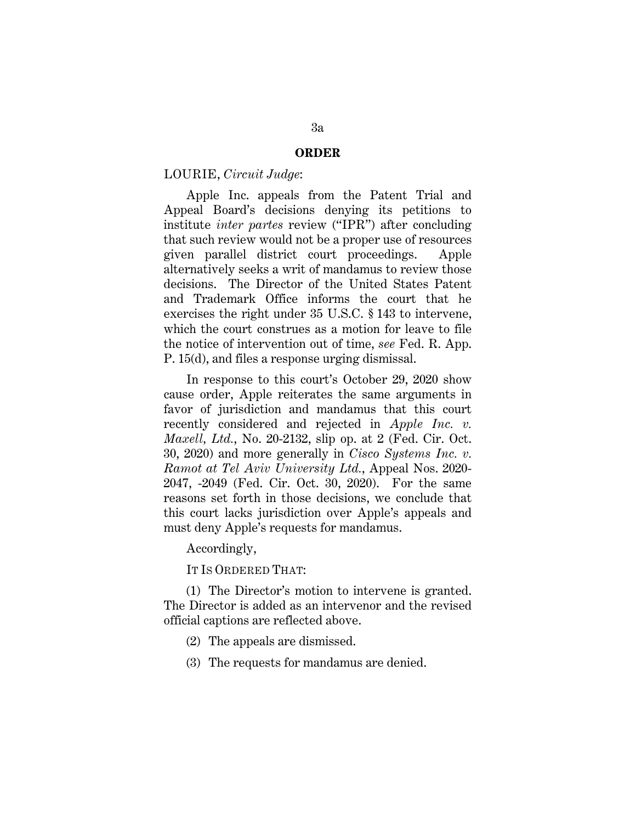#### **ORDER**

#### LOURIE, *Circuit Judge*:

Apple Inc. appeals from the Patent Trial and Appeal Board's decisions denying its petitions to institute *inter partes* review ("IPR") after concluding that such review would not be a proper use of resources given parallel district court proceedings. Apple alternatively seeks a writ of mandamus to review those decisions. The Director of the United States Patent and Trademark Office informs the court that he exercises the right under 35 U.S.C. § 143 to intervene, which the court construes as a motion for leave to file the notice of intervention out of time, *see* Fed. R. App. P. 15(d), and files a response urging dismissal.

In response to this court's October 29, 2020 show cause order, Apple reiterates the same arguments in favor of jurisdiction and mandamus that this court recently considered and rejected in *Apple Inc. v. Maxell, Ltd.*, No. 20-2132, slip op. at 2 (Fed. Cir. Oct. 30, 2020) and more generally in *Cisco Systems Inc. v. Ramot at Tel Aviv University Ltd.*, Appeal Nos. 2020- 2047, -2049 (Fed. Cir. Oct. 30, 2020). For the same reasons set forth in those decisions, we conclude that this court lacks jurisdiction over Apple's appeals and must deny Apple's requests for mandamus.

Accordingly,

IT IS ORDERED THAT:

(1) The Director's motion to intervene is granted. The Director is added as an intervenor and the revised official captions are reflected above.

- (2) The appeals are dismissed.
- (3) The requests for mandamus are denied.